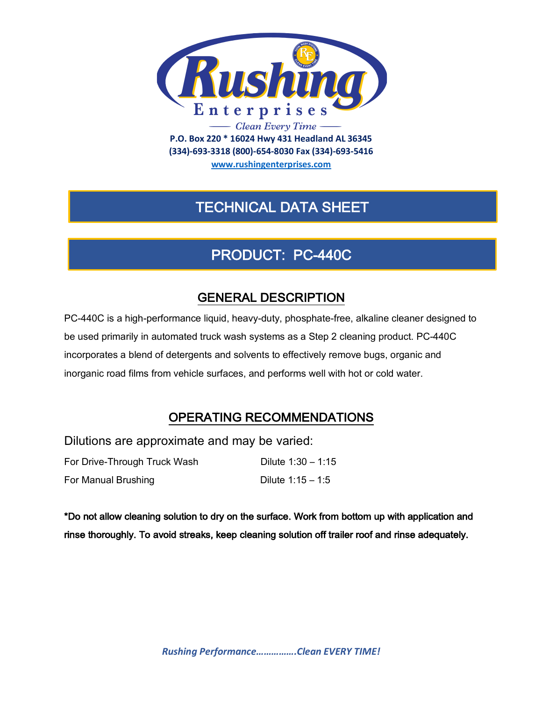

**(334)-693-3318 (800)-654-8030 Fax (334)-693-5416**

**www.rushingenterprises.com**

# TECHNICAL DATA SHEET

# PRODUCT: PC-440C

### GENERAL DESCRIPTION

PC-440C is a high-performance liquid, heavy-duty, phosphate-free, alkaline cleaner designed to be used primarily in automated truck wash systems as a Step 2 cleaning product. PC-440C incorporates a blend of detergents and solvents to effectively remove bugs, organic and inorganic road films from vehicle surfaces, and performs well with hot or cold water.

### OPERATING RECOMMENDATIONS

Dilutions are approximate and may be varied: For Drive-Through Truck Wash Dilute 1:30 – 1:15

For Manual Brushing Dilute 1:15 – 1:5

\*Do not allow cleaning solution to dry on the surface. Work from bottom up with application and rinse thoroughly. To avoid streaks, keep cleaning solution off trailer roof and rinse adequately.